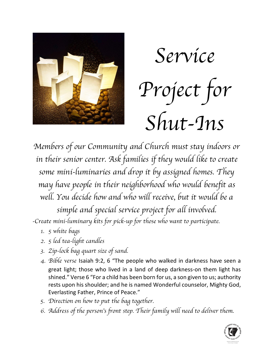



*Members of our Community and Church must stay indoors or*  in their senior center. Ask families if they would like to create *some mini-luminaries and drop it by assigned homes. They may have people in their neighborhood who would benefit as well. You decide how and who will receive, but it would be a simple and special service project for all involved.* 

*-Create mini-luminary kits for pick-up for those who want to participate.* 

- *1. 5 white bags*
- *2. 5 led tea-light candles*
- *3. Zip-lock bag quart size of sand.*
- *4. Bible verse* Isaiah 9:2, 6 "The people who walked in darkness have seen a great light; those who lived in a land of deep darkness-on them light has shined." Verse 6 "For a child has been born for us, a son given to us; authority rests upon his shoulder; and he is named Wonderful counselor, Mighty God, Everlasting Father, Prince of Peace."
- *5. Direction on how to put the bag together.*
- *6. Address of the person*'*s front step. Their family will need to deliver them.*